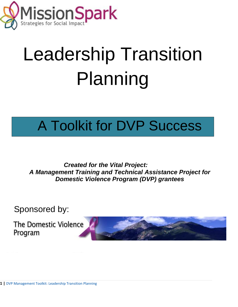

# Leadership Transition Planning

### A Toolkit for DVP Success

*Created for the Vital Project: A Management Training and Technical Assistance Project for Domestic Violence Program (DVP) grantees*

Sponsored by[:](http://www.google.com/imgres?hl=en&tbo=d&authuser=0&biw=1366&bih=623&tbm=isch&tbnid=3GIkEr3rV0IT2M:&imgrefurl=http://www.indiamart.com/dcap/new-items.html&docid=1DHdMNq3bka88M&imgurl=http://1.imimg.com/data/I/A/MY-1030128/water-resource-development_250x250.jpg&w=240&h=240&ei=sW8dUYnwEsm4yQGJ-oCgDA&zoom=1&ved=1t:3588,r:91,s:0,i:366&iact=rc&dur=2770&sig=116805316043903544808&page=5&tbnh=191&tbnw=192&start=86&ndsp=19&tx=85&ty=115)

The Domestic Violence Program

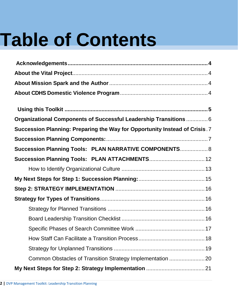# **Table of Contents**

| Organizational Components of Successful Leadership Transitions  6           |  |
|-----------------------------------------------------------------------------|--|
| Succession Planning: Preparing the Way for Opportunity Instead of Crisis. 7 |  |
|                                                                             |  |
| Succession Planning Tools: PLAN NARRATIVE COMPONENTS 8                      |  |
| Succession Planning Tools: PLAN ATTACHMENTS 12                              |  |
|                                                                             |  |
|                                                                             |  |
|                                                                             |  |
|                                                                             |  |
|                                                                             |  |
|                                                                             |  |
|                                                                             |  |
|                                                                             |  |
|                                                                             |  |
|                                                                             |  |
|                                                                             |  |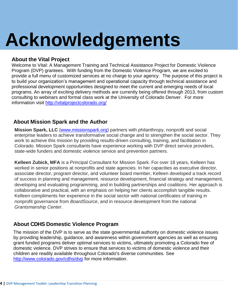# <span id="page-3-0"></span>**Acknowledgements**

### <span id="page-3-1"></span>**About the Vital Project**

Welcome to Vital: A Management Training and Technical Assistance Project for Domestic Violence Program (DVP) grantees. With funding from the Domestic Violence Program, we are excited to provide a full menu of customized services at no charge to your agency. The purpose of this project is to build your organization's management and operational capacity through technical assistance and professional development opportunities designed to meet the current and emerging needs of local programs. An array of exciting delivery methods are currently being offered through 2013, from custom consulting to webinars and formal class work at the University of Colorado Denver. For more information visit<http://vitalprojectcolorado.org/>

### <span id="page-3-2"></span>**About Mission Spark and the Author**

**Mission Spark, LLC** [\(www.missionspark.org\)](http://www.missionspark.org/) partners with philanthropy, nonprofit and social enterprise leaders to achieve transformative social change and to strengthen the social sector. They work to achieve this mission by providing results-driven consulting, training, and facilitation in Colorado. Mission Spark consultants have experience working with DVP direct service providers, state-wide funders and domestic violence service and prevention partners.

**Kelleen Zubick, MFA** is a Principal Consultant for Mission Spark. For over 18 years, Kelleen has worked in senior positions at nonprofits and state agencies. In her capacities as executive director, associate director, program director, and volunteer board member, Kelleen developed a track record of success in planning and management, resource development, financial strategy and management, developing and evaluating programming, and in building partnerships and coalitions. Her approach is collaborative and practical, with an emphasis on helping her clients accomplish tangible results. Kelleen compliments her experience in the social sector with national certificates of training in nonprofit governance from *BoardSource*, and in resource development from the national *Grantsmanship Center*.

### <span id="page-3-3"></span>**About CDHS Domestic Violence Program**

The mission of the DVP is to serve as the state governmental authority on domestic violence issues by providing leadership, guidance, and awareness within government agencies as well as ensuring grant funded programs deliver optimal services to victims, ultimately promoting a Colorado free of domestic violence. DVP strives to ensure that services to victims of domestic violence and their children are readily available throughout Colorado's diverse communities. See <http://www.colorado.gov/cdhs/dvp> for more information.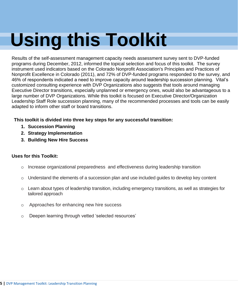# <span id="page-4-0"></span> **Using this Toolkit**

Results of the self-assessment management capacity needs assessment survey sent to DVP-funded programs during December, 2012, informed the topical selection and focus of this toolkit. The survey instrument used indicators based on the Colorado Nonprofit Association's Principles and Practices of Nonprofit Excellence in Colorado (2011), and 72% of DVP-funded programs responded to the survey, and 46% of respondents indicated a need to improve capacity around leadership succession planning. Vital's customized consulting experience with DVP Organizations also suggests that tools around managing Executive Director transitions, especially unplanned or emergency ones, would also be advantageous to a large number of DVP Organizations. While this toolkit is focused on Executive Director/Organization Leadership Staff Role succession planning, many of the recommended processes and tools can be easily adapted to inform other staff or board transitions.

### **This toolkit is divided into three key steps for any successful transition:**

- **1. Succession Planning**
- **2. Strategy Implementation**
- **3. Building New Hire Success**

### **Uses for this Toolkit:**

- o Increase organizational preparedness and effectiveness during leadership transition
- $\circ$  Understand the elements of a succession plan and use included quides to develop key content
- $\circ$  Learn about types of leadership transition, including emergency transitions, as well as strategies for tailored approach
- o Approaches for enhancing new hire success
- o Deepen learning through vetted 'selected resources'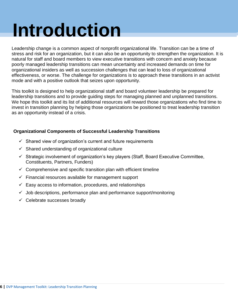# **Introduction**

Leadership change is a common aspect of nonprofit organizational life. Transition can be a time of stress and risk for an organization, but it can also be an opportunity to strengthen the organization. It is natural for staff and board members to view executive transitions with concern and anxiety because poorly managed leadership transitions can mean uncertainty and increased demands on time for organizational insiders as well as succession challenges that can lead to loss of organizational effectiveness, or worse. The challenge for organizations is to approach these transitions in an activist mode and with a positive outlook that seizes upon opportunity.

This toolkit is designed to help organizational staff and board volunteer leadership be prepared for leadership transitions and to provide guiding steps for managing planned and unplanned transitions. We hope this toolkit and its list of additional resources will reward those organizations who find time to invest in transition planning by helping those organizations be positioned to treat leadership transition as an opportunity instead of a crisis.

### <span id="page-5-0"></span>**Organizational Components of Successful Leadership Transitions**

- $\checkmark$  Shared view of organization's current and future requirements
- $\checkmark$  Shared understanding of organizational culture
- $\checkmark$  Strategic involvement of organization's key players (Staff, Board Executive Committee, Constituents, Partners, Funders)
- $\checkmark$  Comprehensive and specific transition plan with efficient timeline
- $\checkmark$  Financial resources available for management support
- $\checkmark$  Easy access to information, procedures, and relationships
- $\checkmark$  Job descriptions, performance plan and performance support/monitoring
- $\checkmark$  Celebrate successes broadly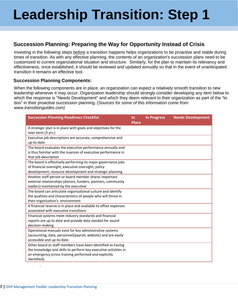### <span id="page-6-0"></span>**Succession Planning: Preparing the Way for Opportunity Instead of Crisis**

Investing in the following steps *before* a transition happens helps organizations to be proactive and stable during times of transition. As with any effective planning, the contents of an organization's succession plans need to be customized to current organizational situation and structure. Similarly, for the plan to maintain its relevancy and effectiveness, once established, it should be reviewed and updated annually so that in the event of unanticipated transition it remains an effective tool.

### <span id="page-6-1"></span>**Succession Planning Components:**

When the following components are in place, an organization can expect a relatively smooth transition to new leadership whenever it may occur. Organization leadership should strongly consider developing any item below to which the response is "Needs Development" and which they deem relevant to their organization as part of the "to dos" in their proactive succession planning. (*Sources for some of this information come from www.transitionguides.com)*

| <b>Succession Planning Readiness Checklist</b>                   | <b>In</b>    | <b>In Progress</b> | <b>Needs Development</b> |
|------------------------------------------------------------------|--------------|--------------------|--------------------------|
|                                                                  | <b>Place</b> |                    |                          |
| A strategic plan is in place with goals and objectives for the   |              |                    |                          |
| near term (3 yrs.)                                               |              |                    |                          |
| Executive job descriptions are accurate, comprehensive and       |              |                    |                          |
| up-to-date                                                       |              |                    |                          |
| The board evaluates the executive performance annually and       |              |                    |                          |
| is thus familiar with the nuances of executive performance in    |              |                    |                          |
| that job description                                             |              |                    |                          |
| The board is effectively performing its major governance jobs    |              |                    |                          |
| of financial oversight, executive oversight, policy              |              |                    |                          |
| development, resource development and strategic planning         |              |                    |                          |
| Another staff person or board member shares important            |              |                    |                          |
| external relationships (donors, funders, partners, community     |              |                    |                          |
| leaders) maintained by the executive                             |              |                    |                          |
| The board can articulate organizational culture and identify     |              |                    |                          |
| the qualities and characteristics of people who will thrive in   |              |                    |                          |
| their organization's environment                                 |              |                    |                          |
| A financial reserve is in place and available to offset expenses |              |                    |                          |
| associated with executive transitions                            |              |                    |                          |
| Financial systems meet industry standards and financial          |              |                    |                          |
| reports are up to date and provide data needed for sound         |              |                    |                          |
| decision-making                                                  |              |                    |                          |
| Operational manuals exist for key administrative systems         |              |                    |                          |
| (accounting, data, personnel/payroll, website) and are easily    |              |                    |                          |
| accessible and up-to-date                                        |              |                    |                          |
| Other board or staff members have been identified as having      |              |                    |                          |
| the knowledge and skills to perform key executive activities in  |              |                    |                          |
| an emergency (cross training performed and explicitly            |              |                    |                          |
| identified).                                                     |              |                    |                          |
|                                                                  |              |                    |                          |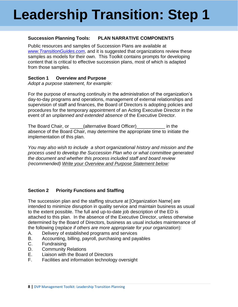### <span id="page-7-0"></span>**Succession Planning Tools: PLAN NARRATIVE COMPONENTS**

Public resources and samples of Succession Plans are available at *[www.TransitionGuides.com](http://www.transitionguides.com/)*, and it is suggested that organizations review these samples as models for their own. This Toolkit contains prompts for developing content that is critical to effective succession plans, most of which is adapted from those samples.

### **Section 1 Overview and Purpose**

*Adopt a purpose statement, for example:*

For the purpose of ensuring continuity in the administration of the organization's day-to-day programs and operations, management of external relationships and supervision of staff and finances, the Board of Directors is adopting policies and procedures for the temporary appointment of an Acting Executive Director in the event of an *unplanned and extended absence* of the Executive Director.

The Board Chair, or \_\_\_\_\_(alternative Board Officer)\_\_\_\_\_\_\_\_\_\_\_ in the absence of the Board Chair, may determine the appropriate time to initiate the implementation of this plan.

*You may also wish to include a short organizational history and mission and the process used to develop the Succession Plan who or what committee generated the document and whether this process included staff and board review (recommended) Write your Overview and Purpose Statement below:*

### **Section 2 Priority Functions and Staffing**

The succession plan and the staffing structure at [Organization Name] are intended to minimize disruption in quality service and maintain business as usual to the extent possible. The full and up-to-date job description of the ED is attached to this plan. In the absence of the Executive Director, unless otherwise determined by the Board of Directors, business as usual includes maintenance of the following (*replace if others are more appropriate for your organization*):

- A. Delivery of established programs and services
- B. Accounting, billing, payroll, purchasing and payables
- C. Fundraising
- D. Community Relations
- E. Liaison with the Board of Directors
- F. Facilities and information technology oversight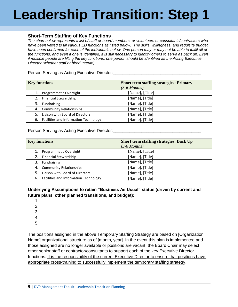### **Short-Term Staffing of Key Functions**

*The chart below represents a list of staff or board members, or volunteers or consultants/contractors who*  have been vetted to fill various ED functions as listed below. The skills, willingness, and requisite budget *have been confirmed for each of the individuals below. One person may or may not be able to fulfill all of the functions, and even if one is identified, it is still necessary to identify others to serve as back up. Even if multiple people are filling the key functions, one person should be identified as the Acting Executive Director (whether staff or hired Interim)*

Person Serving as Acting Executive Director:

| <b>Key functions</b>                        | <b>Short term staffing strategies: Primary</b> |
|---------------------------------------------|------------------------------------------------|
|                                             | $(3-6$ Months)                                 |
| Programmatic Oversight                      | [Name], [Title]                                |
| 2. Financial Stewardship                    | [Name], [Title]                                |
| Fundraising<br>3.                           | [Name], [Title]                                |
| 4. Community Relationships                  | [Name], [Title]                                |
| Liaison with Board of Directors             | [Name], [Title]                                |
| Facilities and Information Technology<br>6. | [Name], [Title]                                |

Person Serving as Acting Executive Director:

| <b>Key functions</b>                        | <b>Short term staffing strategies: Back Up</b> |
|---------------------------------------------|------------------------------------------------|
|                                             | $(3-6$ Months)                                 |
| Programmatic Oversight<br>1.                | [Name], [Title]                                |
| <b>Financial Stewardship</b><br>2.          | [Name], [Title]                                |
| Fundraising<br>3.                           | [Name], [Title]                                |
| <b>Community Relationships</b><br>4.        | [Name], [Title]                                |
| Liaison with Board of Directors             | [Name], [Title]                                |
| Facilities and Information Technology<br>6. | [Name], [Title]                                |

**Underlying Assumptions to retain "Business As Usual" status (driven by current and future plans, other planned transitions, and budget):**

- 1.
- 2.
- 3.
- 4.
- 5.

The positions assigned in the above Temporary Staffing Strategy are based on [Organization Name] organizational structure as of [month, year]. In the event this plan is implemented and those assigned are no longer available or positions are vacant, the Board Chair may select other senior staff or contractor/consultants to support each of the key Executive Director functions. It is the responsibility of the current Executive Director to ensure that positions have appropriate cross-training to successfully implement the temporary staffing strategy.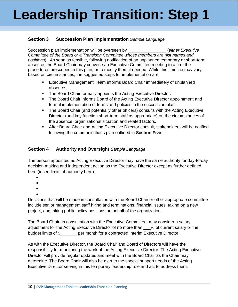### **Section 3 Succession Plan Implementation** *Sample Language*

Succession plan implementation will be overseen by **Executive** *(either Executive igualitying system*) *Committee of the Board or a Transition Committee whose members are (list names and positions*). As soon as feasible, following notification of an unplanned temporary or short-term absence, the Board Chair may convene an Executive Committee meeting to affirm the procedures prescribed in this plan, or to modify them if needed. While this timeline may vary based on circumstances, the suggested steps for implementation are:

- Executive Management Team informs Board Chair immediately of unplanned absence.
- **The Board Chair formally appoints the Acting Executive Director.**
- The Board Chair informs Board of the Acting Executive Director appointment and formal implementation of terms and policies in the succession plan.
- The Board Chair (and potentially other officers) consults with the Acting Executive Director (and key function short-term staff as appropriate) on the circumstances of the absence, organizational situation and related factors.
- After Board Chair and Acting Executive Director consult, stakeholders will be notified following the communications plan outlined in **Section Five**.

### **Section 4 Authority and Oversight** *Sample Language*

The person appointed as Acting Executive Director may have the same authority for day-to-day decision making and independent action as the Executive Director except as further defined here (insert limits of authority here):

- $\bullet$
- $\bullet$
- $\bullet$
- $\bullet$

Decisions that will be made in consultation with the Board Chair or other appropriate committee include senior management staff hiring and terminations, financial issues, taking on a new project, and taking public policy positions on behalf of the organization.

The Board Chair, in consultation with the Executive Committee, may consider a salary adjustment for the Acting Executive Director of no more than \_\_\_% of current salary or the budget limits of \$ per month for a contracted Interim Executive Director.

As with the Executive Director, the Board Chair and Board of Directors will have the responsibility for monitoring the work of the Acting Executive Director. The Acting Executive Director will provide regular updates and meet with the Board Chair as the Chair may determine. The Board Chair will also be alert to the special support needs of the Acting Executive Director serving in this temporary leadership role and act to address them.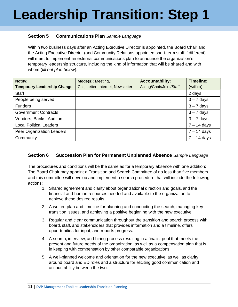### **Section 5 Communications Plan** *Sample Language*

Within two business days after an Acting Executive Director is appointed, the Board Chair and the Acting Executive Director (and Community Relations appointed short-term staff if different) will meet to implement an external communications plan to announce the organization's temporary leadership structure, including the kind of information that will be shared and with whom (*fill out plan below*).

| <b>Notify:</b>                     | Mode(s): Meeting,                  | <b>Accountability:</b>   | <b>Timeline:</b> |
|------------------------------------|------------------------------------|--------------------------|------------------|
| <b>Temporary Leadership Change</b> | Call, Letter, Internet, Newsletter | Acting/Chair/Joint/Staff | (within)         |
| <b>Staff</b>                       |                                    |                          | 2 days           |
| People being served                |                                    |                          | $3 - 7$ days     |
| <b>Funders</b>                     |                                    |                          | $3 - 7$ days     |
| <b>Government Contracts</b>        |                                    |                          | $3 - 7$ days     |
| Vendors, Banks, Auditors           |                                    |                          | $3 - 7$ days     |
| <b>Local Political Leaders</b>     |                                    |                          | $7 - 14$ days    |
| Peer Organization Leaders          |                                    |                          | $7 - 14$ days    |
| Community                          |                                    |                          | $7 - 14$ days    |

### **Section 6 Succession Plan for Permanent Unplanned Absence** *Sample Language*

The procedures and conditions will be the same as for a temporary absence with one addition: The Board Chair may appoint a Transition and Search Committee of no less than five members, and this committee will develop and implement a search procedure that will include the following actions:

- 1. Shared agreement and clarity about organizational direction and goals, and the financial and human resources needed and available to the organization to achieve these desired results.
- 2. A written plan and timeline for planning and conducting the search, managing key transition issues, and achieving a positive beginning with the new executive.
- 3. Regular and clear communication throughout the transition and search process with board, staff, and stakeholders that provides information and a timeline, offers opportunities for input, and reports progress.
- 4. A search, interview, and hiring process resulting in a finalist pool that meets the present and future needs of the organization, as well as a compensation plan that is in keeping with compensation by other comparable organizations.
- 5. A well-planned welcome and orientation for the new executive, as well as clarity around board and ED roles and a structure for eliciting good communication and accountability between the two.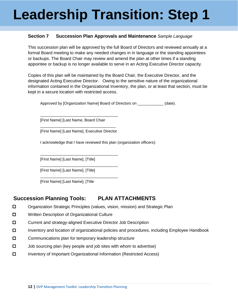### **Section 7 Succession Plan Approvals and Maintenance** *Sample Language*

This succession plan will be approved by the full Board of Directors and reviewed annually at a formal Board meeting to make any needed changes in in language or the standing appointees or backups. The Board Chair may review and amend the plan at other times if a standing appointee or backup is no longer available to serve in an Acting Executive Director capacity.

Copies of this plan will be maintained by the Board Chair, the Executive Director, and the designated Acting Executive Director. Owing to the sensitive nature of the organizational information contained in the Organizational Inventory, the plan, or at least that section, must be kept in a secure location with restricted access.

Approved by [Organization Name] Board of Directors on **Fig. (date)**.

[First Name] [Last Name, Board Chair

\_\_\_\_\_\_\_\_\_\_\_\_\_\_\_\_\_\_\_\_\_\_\_\_\_\_\_\_\_\_\_\_\_\_\_ [First Name] [Last Name], Executive Director

\_\_\_\_\_\_\_\_\_\_\_\_\_\_\_\_\_\_\_\_\_\_\_\_\_\_\_\_\_\_\_\_\_\_\_\_

\_\_\_\_\_\_\_\_\_\_\_\_\_\_\_\_\_\_\_\_\_\_\_\_\_\_\_\_\_\_\_\_\_\_\_\_

\_\_\_\_\_\_\_\_\_\_\_\_\_\_\_\_\_\_\_\_\_\_\_\_\_\_\_\_\_\_\_\_\_\_\_\_

\_\_\_\_\_\_\_\_\_\_\_\_\_\_\_\_\_\_\_\_\_\_\_\_\_\_\_\_\_\_\_\_\_\_\_\_

I acknowledge that I have reviewed this plan (organization officers):

[First Name] [Last Name], [Title]

[First Name] [Last Name], [Title]

[First Name] [Last Name], [Title

### <span id="page-11-0"></span>**Succession Planning Tools: PLAN ATTACHMENTS**

- □ Organization Strategic Principles (values, vision, mission) and Strategic Plan
- $\Box$  Written Description of Organizational Culture
- Current and strategy-aligned Executive Director Job Description
- Inventory and location of organizational policies and procedures, including Employee Handbook
- $\Box$  Communications plan for temporary leadership structure
- $\Box$  Job sourcing plan (key people and job sites with whom to advertise)
- Inventory of Important Organizational Information (Restricted Access)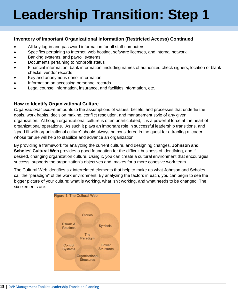### **Inventory of Important Organizational Information (Restricted Access) Continued**

- All key log-in and password information for all staff computers
- Specifics pertaining to Internet, web hosting, software licenses, and internal network
- Banking systems, and payroll systems
- Documents pertaining to nonprofit status
- Financial information, bank information, including names of authorized check signers, location of blank checks, vendor records
- Key and anonymous donor information
- Information on accessing personnel records
- Legal counsel information, insurance, and facilities information, etc.

### <span id="page-12-0"></span>**How to Identify Organizational Culture**

*Organizational culture* amounts to the assumptions of values, beliefs, and processes that underlie the goals, work habits, decision making, conflict resolution, and management style of any given organization. Although organizational culture is often unarticulated, it is a powerful force at the heart of organizational operations. As such it plays an important role in successful leadership transitions, and "good fit with organizational culture" should always be considered in the quest for attracting a leader whose tenure will help to stabilize and advance an organization.

By providing a framework for analyzing the current culture, and designing changes, **Johnson and Scholes' Cultural Web** provides a good foundation for the difficult business of identifying, and if desired, changing organization culture. Using it, you can create a cultural environment that encourages success, supports the organization's objectives and, makes for a more cohesive work team.

The Cultural Web identifies six interrelated elements that help to make up what Johnson and Scholes call the "paradigm" of the work environment. By analyzing the factors in each, you can begin to see the bigger picture of your culture: what is working, what isn't working, and what needs to be changed. The six elements are:

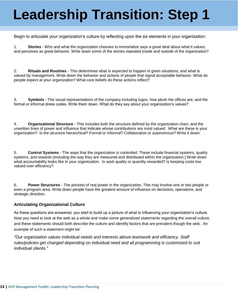Begin to articulate your organization's culture by reflecting upon the six elements in your organization:

1. **Stories** - Who and what the organization chooses to immortalize says a great deal about what it values, and perceives as great behavior. Write down some of the stories repeated inside and outside of the organization?

2. **Rituals and Routines** - This determines what is expected to happen in given situations, and what is valued by management. Write down the behavior and actions of people that signal acceptable behavior. What do people expect at your organization? What core beliefs do these actions reflect?

3. **Symbols** - The visual representations of the company including logos, how plush the offices are, and the formal or informal dress codes. Write them down. What do they say about your organization's values?

4. **Organizational Structure** - This includes both the structure defined by the organization chart, and the unwritten lines of power and influence that indicate whose contributions are most valued. What are these in your organization? Is the structure hierarchical? Formal or informal? Collaborative or autonomous? Write it down:

5. **Control Systems** - The ways that the organization is controlled. These include financial systems, quality systems, and rewards (including the way they are measured and distributed within the organization.) Write down what accountability looks like in your organization. Is work quality or quantity rewarded? Is keeping costs low valued over efficiency?

6. **Power Structures** - The pockets of real power in the organization. This may involve one or two people or even a program area. Write down people have the greatest amount of influence on decisions, operations, and strategic direction.

#### **Articulating Organizational Culture**

As these questions are answered, you start to build up a picture of what is influencing your organization's culture. Now you need to look at the web as a whole and make some generalized statements regarding the overall culture, and these statements should both describe the culture and identify factors that are prevalent though the web. An example of such a statement might be:

*"Our organization values individual needs and interests above teamwork and efficiency. Staff rules/policies get changed depending on individual need and all programming is customized to suit individual clients."*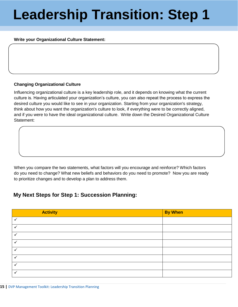#### **Write your Organizational Culture Statement:**

#### **Changing Organizational Culture**

Influencing organizational culture is a key leadership role, and it depends on knowing what the current culture is. Having articulated your organization's culture, you can also repeat the process to express the desired culture you would like to see in your organization. Starting from your organization's strategy, think about how you want the organization's culture to look, if everything were to be correctly aligned, and if you were to have the ideal organizational culture. Write down the Desired Organizational Culture Statement:

When you compare the two statements, what factors will you encourage and reinforce? Which factors do you need to change? What new beliefs and behaviors do you need to promote? Now you are ready to prioritize changes and to develop a plan to address them.

### <span id="page-14-0"></span>**My Next Steps for Step 1: Succession Planning:**

| <b>Activity</b> | <b>By When</b> |
|-----------------|----------------|
| $\checkmark$    |                |
| $\checkmark$    |                |
| ✓               |                |
| ✓               |                |
| ✓               |                |
| ✓               |                |
| ✓               |                |
| $\checkmark$    |                |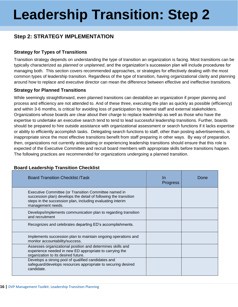### <span id="page-15-0"></span>**Step 2: STRATEGY IMPLEMENTATION**

### <span id="page-15-1"></span>**Strategy for Types of Transitions**

Transition strategy depends on understanding the type of transition an organization is facing. Most transitions can be typically characterized as *planned* or *unplanned*, and the organization's succession plan will include procedures for managing both. This section covers recommended approaches, or strategies for effectively dealing with the most common types of leadership transition. Regardless of the type of transition, having organizational clarity and planning around how to replace and executive director can mean the difference between effective and ineffective transitions.

### <span id="page-15-2"></span>**Strategy for Planned Transitions**

While seemingly straightforward, even planned transitions can destabilize an organization if proper planning and process and efficiency are not attended to. And of these three, executing the plan as quickly as possible (efficiency) and within 3-6 months, is critical for avoiding loss of participation by internal staff and external stakeholders. Organizations whose boards are clear about their charge to replace leadership as well as those who have the expertise to undertake an executive search tend to tend to lead successful leadership transitions. Further, boards should be prepared to hire outside assistance with organizational assessment or search functions if it lacks expertise or ability to efficiently accomplish tasks. Delegating search functions to staff, other than posting advertisements, is inappropriate since the most effective transitions benefit from staff preparing in other ways. By way of preparation, then, organizations not currently anticipating or experiencing leadership transitions should ensure that this role is expected of the Executive Committee and recruit board members with appropriate skills before transitions happen. The following practices are recommended for organizations undergoing a planned transition.

<span id="page-15-3"></span>

| <b>Board Transition Checklist /Task</b>                                                                                                                                                                      | In<br><b>Progress</b> | Done |
|--------------------------------------------------------------------------------------------------------------------------------------------------------------------------------------------------------------|-----------------------|------|
| Executive Committee (or Transition Committee named in<br>succession plan) develops the detail of following the transition<br>steps in the succession plan, including evaluating interim<br>management needs. |                       |      |
| Develops/implements communication plan to regarding transition<br>and recruitment                                                                                                                            |                       |      |
| Recognizes and celebrates departing ED's accomplishments.                                                                                                                                                    |                       |      |
| Implements succession plan to maintain ongoing operations and<br>monitor accountability/success.                                                                                                             |                       |      |
| Assesses organizational position and determines skills and<br>experience needed in new ED appropriate to carrying the<br>organization to its desired future.                                                 |                       |      |
| Develops a strong pool of qualified candidates and<br>safeguard/develops resources appropriate to securing desired<br>candidate.                                                                             |                       |      |

### **Board Leadership Transition Checklist**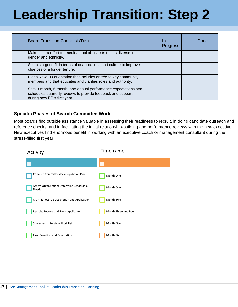| <b>Board Transition Checklist /Task</b>                                                                                                                      | In<br><b>Progress</b> | Done |
|--------------------------------------------------------------------------------------------------------------------------------------------------------------|-----------------------|------|
| Makes extra effort to recruit a pool of finalists that is diverse in<br>gender and ethnicity.                                                                |                       |      |
| Selects a good fit in terms of qualifications and culture to improve<br>chances of a longer tenure.                                                          |                       |      |
| Plans New ED orientation that includes entrée to key community<br>members and that educates and clarifies roles and authority.                               |                       |      |
| Sets 3-month, 6-month, and annual performance expectations and<br>schedules quarterly reviews to provide feedback and support<br>during new ED's first year. |                       |      |

### <span id="page-16-0"></span>**Specific Phases of Search Committee Work**

Most boards find outside assistance valuable in assessing their readiness to recruit, in doing candidate outreach and reference checks, and in facilitating the initial relationship-building and performance reviews with the new executive. New executives find enormous benefit in working with an executive coach or management consultant during the stress-filled first year.

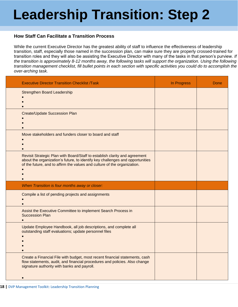### <span id="page-17-0"></span>**How Staff Can Facilitate a Transition Process**

While the current Executive Director has the greatest ability of staff to influence the effectiveness of leadership transition, staff, especially those named in the succession plan, can make sure they are properly crossed-trained for transition roles and they will also be assisting the Executive Director with many of the tasks in that person's purview. *If the transition is approximately 8-12 months away, the following tasks will support the organization. Using the following*  transition management checklist, fill bullet points in each section with specific activities you could do to accomplish the *over-arching task.*

| <b>Executive Director Transition Checklist /Task</b>                                                                                                                                                                                    | In Progress | Done |
|-----------------------------------------------------------------------------------------------------------------------------------------------------------------------------------------------------------------------------------------|-------------|------|
| <b>Strengthen Board Leadership</b>                                                                                                                                                                                                      |             |      |
| <b>Create/Update Succession Plan</b>                                                                                                                                                                                                    |             |      |
| Move stakeholders and funders closer to board and staff                                                                                                                                                                                 |             |      |
| Revisit Strategic Plan with Board/Staff to establish clarity and agreement<br>about the organization's future, to identify key challenges and opportunities<br>of the future, and to affirm the values and culture of the organization. |             |      |
| When Transition is four months away or closer:                                                                                                                                                                                          |             |      |
| Compile a list of pending projects and assignments                                                                                                                                                                                      |             |      |
| Assist the Executive Committee to implement Search Process in<br><b>Succession Plan</b>                                                                                                                                                 |             |      |
| Update Employee Handbook, all job descriptions, and complete all<br>outstanding staff evaluations; update personnel files                                                                                                               |             |      |
| Create a Financial File with budget, most recent financial statements, cash<br>flow statements, audit, and financial procedures and policies. Also change<br>signature authority with banks and payroll.                                |             |      |
|                                                                                                                                                                                                                                         |             |      |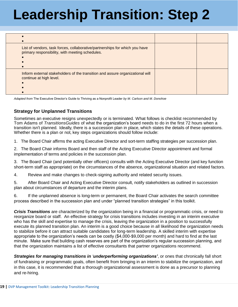| List of vendors, task forces, collaborative/partnerships for which you have<br>primary responsibility, with meeting schedules. |  |
|--------------------------------------------------------------------------------------------------------------------------------|--|
| Inform external stakeholders of the transition and assure organizational will<br>continue at high level.                       |  |

*Adapted from* The Executive Director's Guide to Thriving as a Nonprofit Leader *by M. Carlson and M. Donohoe*

#### <span id="page-18-0"></span>**Strategy for Unplanned Transitions**

Sometimes an executive resigns unexpectedly or is terminated. What follows is checklist recommended by Tom Adams of *TransitionsGuides* of what the organization's board needs to do in the first 72 hours when a transition isn't planned. Ideally, there is a succession plan in place, which states the details of these operations. Whether there is a plan or not, key steps organizations should follow include:

1. The Board Chair affirms the acting Executive Director and sort-term staffing strategies per succession plan.

2. The Board Chair informs Board and then staff of the Acting Executive Director appointment and formal implementation of terms and policies in the succession plan.

3. The Board Chair (and potentially other officers) consults with the Acting Executive Director (and key function short-term staff as appropriate) on the circumstances of the absence, organizational situation and related factors.

4. Review and make changes to check-signing authority and related security issues.

5. After Board Chair and Acting Executive Director consult, notify stakeholders as outlined in succession plan about circumstances of departure and the interim plans.

6. If the unplanned absence is long-term or permanent, the Board Chair activates the search committee process described in the succession plan and under "planned transition strategies" in this toolkit.

*Crisis Transitions* are characterized by the organization being in a financial or programmatic crisis, or need to reorganize board or staff. An effective strategy for crisis transitions includes investing in an interim executive who has the skill and expertise to manage the crisis, leaving the organization in a position to successfully execute its planned transition plan. An interim is a good choice because in all likelihood the organization needs to stabilize before it can attract suitable candidates for long-term leadership. A skilled interim with expertise appropriate to the organization's needs can be costly (\$4,000-\$9,000 per month) and hard to find at the last minute. Make sure that building cash reserves are part of the organization's regular succession planning, and that the organization maintains a list of effective consultants that partner organizations recommend.

*Strategies for managing transitions in 'underperforming organizations'*, or ones that chronically fall short of fundraising or programmatic goals, often benefit from bringing in an interim to stabilize the organization, and in this case, it is recommended that a thorough organizational assessment is done as a precursor to planning and re-hiring.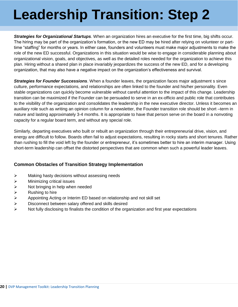*Strategies for Organizational Startups*. When an organization hires an executive for the first time, big shifts occur. The hiring may be part of the organization's formation, or the new ED may be hired after relying on volunteer or parttime "staffing" for months or years. In either case, founders and volunteers must make major adjustments to make the role of the new ED successful. Organizations in this situation would be wise to engage in considerable planning about organizational vision, goals, and objectives, as well as the detailed roles needed for the organization to achieve this plan. Hiring without a shared plan in place invariably jeopardizes the success of the new ED, and for a developing organization, that may also have a negative impact on the organization's effectiveness and survival.

*Strategies for Founder Successions*. When a founder leaves, the organization faces major adjustment s since culture, performance expectations, and relationships are often linked to the founder and his/her personality. Even stable organizations can quickly become vulnerable without careful attention to the impact of this change. Leadership transition can be maximized if the Founder can be persuaded to serve in an ex-officio and public role that contributes to the visibility of the organization and consolidates the leadership in the new executive director. Unless it becomes an auxiliary role such as writing an opinion column for a newsletter, the Founder transition role should be short –term in nature and lasting approximately 3-4 months. It is appropriate to have that person serve on the board in a nonvoting capacity for a regular board term, and without any special role.

Similarly, departing executives who built or rebuilt an organization through their entrepreneurial drive, vision, and energy are difficult to follow. Boards often fail to adjust expectations, resulting in rocky starts and short tenures. Rather than rushing to fill the void left by the founder or entrepreneur, it's sometimes better to hire an interim manager. Using short-term leadership can offset the distorted perspectives that are common when such a powerful leader leaves.

### <span id="page-19-0"></span>**Common Obstacles of Transition Strategy Implementation**

- $\triangleright$  Making hasty decisions without assessing needs
- $\triangleright$  Minimizing critical issues
- $\triangleright$  Not bringing in help when needed
- $\triangleright$  Rushing to hire
- $\triangleright$  Appointing Acting or Interim ED based on relationship and not skill set
- $\triangleright$  Disconnect between salary offered and skills desired
- $\triangleright$  Not fully disclosing to finalists the condition of the organization and first year expectations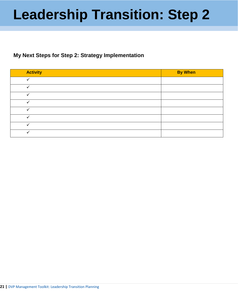### <span id="page-20-0"></span>**My Next Steps for Step 2: Strategy Implementation**

| <b>Activity</b> | <b>By When</b> |
|-----------------|----------------|
|                 |                |
|                 |                |
|                 |                |
|                 |                |
|                 |                |
|                 |                |
|                 |                |
|                 |                |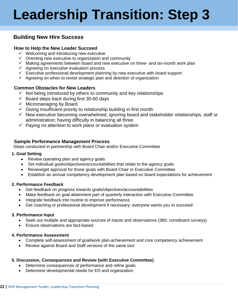### <span id="page-21-0"></span>**Building New Hire Success**

#### <span id="page-21-1"></span>**How to Help the New Leader Succeed**

- $\checkmark$  Welcoming and introducing new executive
- $\checkmark$  Orienting new executive to organization and community
- $\checkmark$  Making agreements between board and new executive on three- and six-month work plan
- $\checkmark$  Agreeing on executive evaluation process
- $\checkmark$  Executive professional development planning by new executive with board support
- $\checkmark$  Agreeing on when to revisit strategic plan and direction of organization

#### <span id="page-21-2"></span>**Common Obstacles for New Leaders**

- $\checkmark$  Not being introduced by others to community and key relationships
- $\checkmark$  Board steps back during first 30-60 days
- $\checkmark$  Micromanaging by Board
- $\checkmark$  Giving insufficient priority to relationship building in first month
- $\checkmark$  New executive becoming overwhelmed, ignoring board and stakeholder relationships, staff or administration; having difficulty in balancing all three
- $\checkmark$  Paying no attention to work plans or evaluation system

#### <span id="page-21-3"></span>**Sample Performance Management Process**

Steps conducted in partnership with Board Chair and/or Executive Committee

#### **1. Goal Setting**

- Review operating plan and agency goals
- Set individual goals/objectives/accountabilities that relate to the agency goals
- Review/get approval for those goals with Board Chair or Executive Committee
- Establish an annual competency development plan based on board expectations for achievement

#### **2. Performance Feedback**

- Get feedback on progress towards goals/objectives/accountabilities
- Make feedback on goal attainment part of quarterly interaction with Executive Committee
- Integrate feedback into routine to improve performance
- Get coaching or professional development if necessary; everyone wants you to succeed!

#### **3. Performance Input**

- Seek out multiple and appropriate sources of inputs and observations (360; constituent surveys)
- Fnsure observations are fact-based

### **4. Performance Assessment**

- Complete self-assessment of goal/work plan-achievement and core competency achievement
- Review against Board and Staff versions of the same tool

#### **5. Discussion, Consequences and Review (with Executive Committee)**

- Determine consequences of performance and refine goals
- Determine developmental needs for ED and organization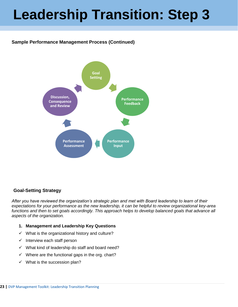### **Sample Performance Management Process (Continued)**



### <span id="page-22-0"></span>**Goal-Setting Strategy**

*After you have reviewed the organization's strategic plan and met with Board leadership to learn of their expectations for your performance as the new leadership, it can be helpful to review organizational key-area functions and then to set goals accordingly. This approach helps to develop balanced goals that advance all aspects of the organization.*

- **1. Management and Leadership Key Questions**
- $\checkmark$  What is the organizational history and culture?
- $\checkmark$  Interview each staff person
- $\checkmark$  What kind of leadership do staff and board need?
- $\checkmark$  Where are the functional gaps in the org. chart?
- $\checkmark$  What is the succession plan?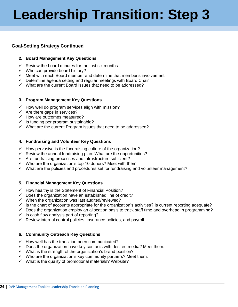### **Goal-Setting Strategy Continued**

#### **2. Board Management Key Questions**

- $\checkmark$  Review the board minutes for the last six months
- $\checkmark$  Who can provide board history?
- $\checkmark$  Meet with each Board member and determine that member's involvement
- $\checkmark$  Determine agenda setting and regular meetings with Board Chair
- $\checkmark$  What are the current Board issues that need to be addressed?

#### **3. Program Management Key Questions**

- $\checkmark$  How well do program services align with mission?
- $\checkmark$  Are there gaps in services?
- $\checkmark$  How are outcomes measured?
- $\checkmark$  Is funding per program sustainable?
- $\checkmark$  What are the current Program issues that need to be addressed?

#### **4. Fundraising and Volunteer Key Questions**

- $\checkmark$  How pervasive is the fundraising culture of the organization?
- $\checkmark$  Review the annual fundraising plan: What are the opportunities?
- $\checkmark$  Are fundraising processes and infrastructure sufficient?
- $\checkmark$  Who are the organization's top 10 donors? Meet with them.
- $\checkmark$  What are the policies and procedures set for fundraising and volunteer management?

#### **5. Financial Management Key Questions**

- $\checkmark$  How healthy is the Statement of Financial Position?
- $\checkmark$  Does the organization have an established line of credit?
- $\checkmark$  When the organization was last audited/reviewed?
- $\checkmark$  Is the chart of accounts appropriate for the organization's activities? Is current reporting adequate?
- $\checkmark$  Does the organization employ an allocation basis to track staff time and overhead in programming?
- $\checkmark$  Is cash flow analysis part of reporting?
- $\checkmark$  Review internal control policies, insurance policies, and payroll.

#### **6. Community Outreach Key Questions**

- $\checkmark$  How well has the transition been communicated?
- $\checkmark$  Does the organization have key contacts with desired media? Meet them.
- $\checkmark$  What is the strength of the organization's brand position?
- $\checkmark$  Who are the organization's key community partners? Meet them.
- $\checkmark$  What is the quality of promotional materials? Website?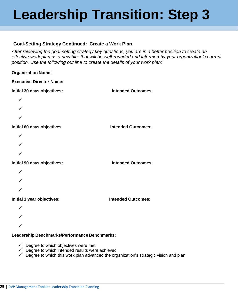### <span id="page-24-0"></span>**Goal-Setting Strategy Continued: Create a Work Plan**

*After reviewing the goal-setting strategy key questions, you are in a better position to create an effective work plan as a new hire that will be well-rounded and informed by your organization's current position. Use the following out line to create the details of your work plan:*

#### **Organization Name:**

| <b>Executive Director Name:</b> |                           |
|---------------------------------|---------------------------|
| Initial 30 days objectives:     | <b>Intended Outcomes:</b> |
| ✓                               |                           |
|                                 |                           |
|                                 |                           |
| Initial 60 days objectives      | <b>Intended Outcomes:</b> |
| ✓                               |                           |
|                                 |                           |
|                                 |                           |
| Initial 90 days objectives:     | <b>Intended Outcomes:</b> |
|                                 |                           |
|                                 |                           |
|                                 |                           |
| Initial 1 year objectives:      | <b>Intended Outcomes:</b> |

  $\cdot$ 

#### **Leadership Benchmarks/Performance Benchmarks:**

- $\checkmark$  Degree to which objectives were met
- $\checkmark$  Degree to which intended results were achieved
- $\checkmark$  Degree to which this work plan advanced the organization's strategic vision and plan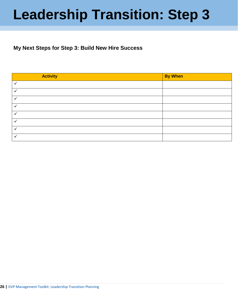### <span id="page-25-0"></span>**My Next Steps for Step 3: Build New Hire Success**

| <b>Activity</b>      | <b>By When</b> |
|----------------------|----------------|
| $\checkmark$         |                |
| v                    |                |
| v                    |                |
| $\checkmark$         |                |
| v                    |                |
| $\checkmark$         |                |
| $\ddot{\phantom{0}}$ |                |
|                      |                |